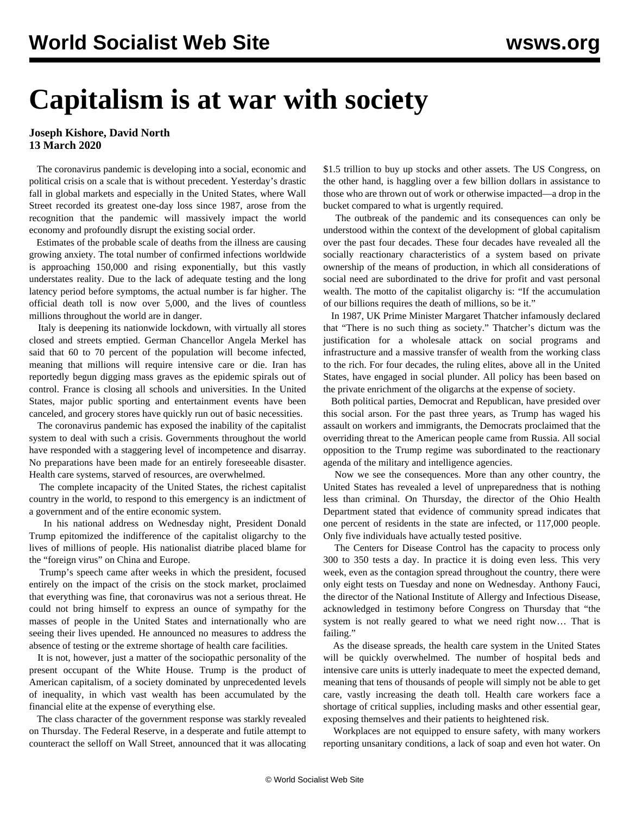## **Capitalism is at war with society**

## **Joseph Kishore, David North 13 March 2020**

 The coronavirus pandemic is developing into a social, economic and political crisis on a scale that is without precedent. Yesterday's drastic fall in global markets and especially in the United States, where Wall Street recorded its greatest one-day loss since 1987, arose from the recognition that the pandemic will massively impact the world economy and profoundly disrupt the existing social order.

 Estimates of the probable scale of deaths from the illness are causing growing anxiety. The total number of confirmed infections worldwide is approaching 150,000 and rising exponentially, but this vastly understates reality. Due to the lack of adequate testing and the long latency period before symptoms, the actual number is far higher. The official death toll is now over 5,000, and the lives of countless millions throughout the world are in danger.

 Italy is deepening its nationwide lockdown, with virtually all stores closed and streets emptied. German Chancellor Angela Merkel has said that 60 to 70 percent of the population will become infected, meaning that millions will require intensive care or die. Iran has reportedly begun digging mass graves as the epidemic spirals out of control. France is closing all schools and universities. In the United States, major public sporting and entertainment events have been canceled, and grocery stores have quickly run out of basic necessities.

 The coronavirus pandemic has exposed the inability of the capitalist system to deal with such a crisis. Governments throughout the world have responded with a staggering level of incompetence and disarray. No preparations have been made for an entirely foreseeable disaster. Health care systems, starved of resources, are overwhelmed.

 The complete incapacity of the United States, the richest capitalist country in the world, to respond to this emergency is an indictment of a government and of the entire economic system.

 In his national address on Wednesday night, President Donald Trump epitomized the indifference of the capitalist oligarchy to the lives of millions of people. His nationalist diatribe placed blame for the "foreign virus" on China and Europe.

 Trump's speech came after weeks in which the president, focused entirely on the impact of the crisis on the stock market, proclaimed that everything was fine, that coronavirus was not a serious threat. He could not bring himself to express an ounce of sympathy for the masses of people in the United States and internationally who are seeing their lives upended. He announced no measures to address the absence of testing or the extreme shortage of health care facilities.

 It is not, however, just a matter of the sociopathic personality of the present occupant of the White House. Trump is the product of American capitalism, of a society dominated by unprecedented levels of inequality, in which vast wealth has been accumulated by the financial elite at the expense of everything else.

 The class character of the government response was starkly revealed on Thursday. The Federal Reserve, in a desperate and futile attempt to counteract the selloff on Wall Street, announced that it was allocating \$1.5 trillion to buy up stocks and other assets. The US Congress, on the other hand, is haggling over a few billion dollars in assistance to those who are thrown out of work or otherwise impacted—a drop in the bucket compared to what is urgently required.

 The outbreak of the pandemic and its consequences can only be understood within the context of the development of global capitalism over the past four decades. These four decades have revealed all the socially reactionary characteristics of a system based on private ownership of the means of production, in which all considerations of social need are subordinated to the drive for profit and vast personal wealth. The motto of the capitalist oligarchy is: "If the accumulation of our billions requires the death of millions, so be it."

 In 1987, UK Prime Minister Margaret Thatcher infamously declared that "There is no such thing as society." Thatcher's dictum was the justification for a wholesale attack on social programs and infrastructure and a massive transfer of wealth from the working class to the rich. For four decades, the ruling elites, above all in the United States, have engaged in social plunder. All policy has been based on the private enrichment of the oligarchs at the expense of society.

 Both political parties, Democrat and Republican, have presided over this social arson. For the past three years, as Trump has waged his assault on workers and immigrants, the Democrats proclaimed that the overriding threat to the American people came from Russia. All social opposition to the Trump regime was subordinated to the reactionary agenda of the military and intelligence agencies.

 Now we see the consequences. More than any other country, the United States has revealed a level of unpreparedness that is nothing less than criminal. On Thursday, the director of the Ohio Health Department stated that evidence of community spread indicates that one percent of residents in the state are infected, or 117,000 people. Only five individuals have actually tested positive.

 The Centers for Disease Control has the capacity to process only 300 to 350 tests a day. In practice it is doing even less. This very week, even as the contagion spread throughout the country, there were only eight tests on Tuesday and none on Wednesday. Anthony Fauci, the director of the National Institute of Allergy and Infectious Disease, acknowledged in testimony before Congress on Thursday that "the system is not really geared to what we need right now… That is failing."

 As the disease spreads, the health care system in the United States will be quickly overwhelmed. The number of hospital beds and intensive care units is utterly inadequate to meet the expected demand, meaning that tens of thousands of people will simply not be able to get care, vastly increasing the death toll. Health care workers face a shortage of critical supplies, including masks and other essential gear, exposing themselves and their patients to heightened risk.

 Workplaces are not equipped to ensure safety, with many workers reporting unsanitary conditions, a lack of soap and even hot water. On